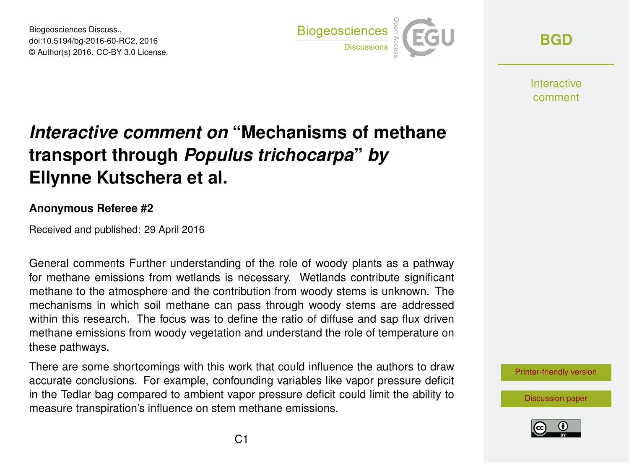Biogeosciences Discuss., doi:10.5194/bg-2016-60-RC2, 2016 © Author(s) 2016. CC-BY 3.0 License.



**[BGD](http://www.biogeosciences-discuss.net/)**

Interactive comment

## *Interactive comment on* **"Mechanisms of methane transport through** *Populus trichocarpa***"** *by* **Ellynne Kutschera et al.**

## **Anonymous Referee #2**

Received and published: 29 April 2016

General comments Further understanding of the role of woody plants as a pathway for methane emissions from wetlands is necessary. Wetlands contribute significant methane to the atmosphere and the contribution from woody stems is unknown. The mechanisms in which soil methane can pass through woody stems are addressed within this research. The focus was to define the ratio of diffuse and sap flux driven methane emissions from woody vegetation and understand the role of temperature on these pathways.

There are some shortcomings with this work that could influence the authors to draw accurate conclusions. For example, confounding variables like vapor pressure deficit in the Tedlar bag compared to ambient vapor pressure deficit could limit the ability to measure transpiration's influence on stem methane emissions.



[Discussion paper](http://www.biogeosciences-discuss.net/bg-2016-60)